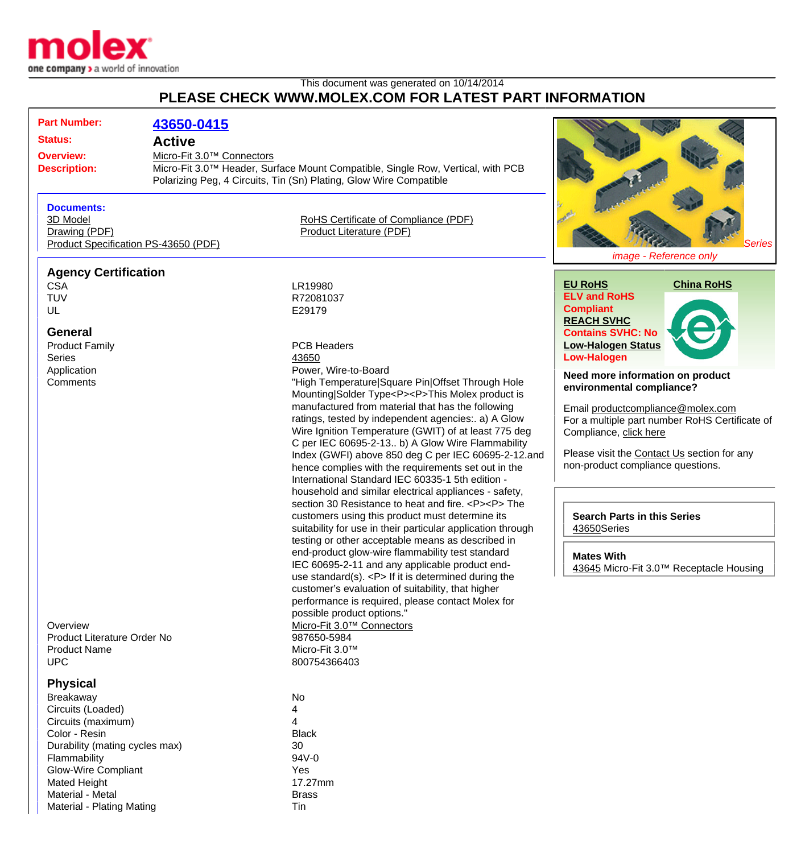

Material - Plating Mating Times and Times and Times Times and Times and Times and Times and Times and Times and Tim

## This document was generated on 10/14/2014 **PLEASE CHECK WWW.MOLEX.COM FOR LATEST PART INFORMATION**

| <b>Part Number:</b>                     | 43650-0415                            |                                                                                                           |                                                |
|-----------------------------------------|---------------------------------------|-----------------------------------------------------------------------------------------------------------|------------------------------------------------|
| <b>Status:</b>                          | <b>Active</b>                         |                                                                                                           |                                                |
|                                         |                                       |                                                                                                           |                                                |
| <b>Overview:</b><br><b>Description:</b> | Micro-Fit 3.0 <sup>™</sup> Connectors | Micro-Fit 3.0™ Header, Surface Mount Compatible, Single Row, Vertical, with PCB                           |                                                |
|                                         |                                       | Polarizing Peg, 4 Circuits, Tin (Sn) Plating, Glow Wire Compatible                                        |                                                |
|                                         |                                       |                                                                                                           |                                                |
| <b>Documents:</b>                       |                                       |                                                                                                           |                                                |
| 3D Model                                |                                       | RoHS Certificate of Compliance (PDF)                                                                      |                                                |
| Drawing (PDF)                           |                                       | Product Literature (PDF)                                                                                  |                                                |
| Product Specification PS-43650 (PDF)    |                                       |                                                                                                           | Series                                         |
|                                         |                                       |                                                                                                           | image - Reference only                         |
| <b>Agency Certification</b>             |                                       |                                                                                                           |                                                |
| <b>CSA</b>                              |                                       | LR19980                                                                                                   | <b>EU RoHS</b><br><b>China RoHS</b>            |
| <b>TUV</b>                              |                                       | R72081037                                                                                                 | <b>ELV and RoHS</b>                            |
| UL                                      |                                       | E29179                                                                                                    | <b>Compliant</b>                               |
| <b>General</b>                          |                                       |                                                                                                           | <b>REACH SVHC</b><br><b>Contains SVHC: No</b>  |
|                                         |                                       | <b>PCB Headers</b>                                                                                        | <b>Low-Halogen Status</b>                      |
| <b>Product Family</b><br><b>Series</b>  |                                       | 43650                                                                                                     | <b>Low-Halogen</b>                             |
| Application                             |                                       | Power, Wire-to-Board                                                                                      |                                                |
| Comments                                |                                       | "High Temperature Square Pin Offset Through Hole                                                          | Need more information on product               |
|                                         |                                       | Mounting Solder Type <p><p>This Molex product is</p></p>                                                  | environmental compliance?                      |
|                                         |                                       | manufactured from material that has the following                                                         | Email productcompliance@molex.com              |
|                                         |                                       | ratings, tested by independent agencies:. a) A Glow                                                       | For a multiple part number RoHS Certificate of |
|                                         |                                       | Wire Ignition Temperature (GWIT) of at least 775 deg                                                      | Compliance, click here                         |
|                                         |                                       | C per IEC 60695-2-13 b) A Glow Wire Flammability                                                          |                                                |
|                                         |                                       | Index (GWFI) above 850 deg C per IEC 60695-2-12.and                                                       | Please visit the Contact Us section for any    |
|                                         |                                       | hence complies with the requirements set out in the                                                       | non-product compliance questions.              |
|                                         |                                       | International Standard IEC 60335-1 5th edition -<br>household and similar electrical appliances - safety, |                                                |
|                                         |                                       | section 30 Resistance to heat and fire. <p><p> The</p></p>                                                |                                                |
|                                         |                                       | customers using this product must determine its                                                           | <b>Search Parts in this Series</b>             |
|                                         |                                       | suitability for use in their particular application through                                               | 43650Series                                    |
|                                         |                                       | testing or other acceptable means as described in                                                         |                                                |
|                                         |                                       | end-product glow-wire flammability test standard                                                          | <b>Mates With</b>                              |
|                                         |                                       | IEC 60695-2-11 and any applicable product end-                                                            | 43645 Micro-Fit 3.0™ Receptacle Housing        |
|                                         |                                       | use standard(s). $< P$ > If it is determined during the                                                   |                                                |
|                                         |                                       | customer's evaluation of suitability, that higher                                                         |                                                |
|                                         |                                       | performance is required, please contact Molex for<br>possible product options."                           |                                                |
| Overview                                |                                       | Micro-Fit 3.0™ Connectors                                                                                 |                                                |
| Product Literature Order No             |                                       | 987650-5984                                                                                               |                                                |
| <b>Product Name</b>                     |                                       | Micro-Fit 3.0™                                                                                            |                                                |
| <b>UPC</b>                              |                                       | 800754366403                                                                                              |                                                |
|                                         |                                       |                                                                                                           |                                                |
| <b>Physical</b>                         |                                       |                                                                                                           |                                                |
| <b>Breakaway</b>                        |                                       | No                                                                                                        |                                                |
| Circuits (Loaded)<br>Circuits (maximum) |                                       | 4<br>4                                                                                                    |                                                |
| Color - Resin                           |                                       | <b>Black</b>                                                                                              |                                                |
| Durability (mating cycles max)          |                                       | 30                                                                                                        |                                                |
| Flammability                            |                                       | 94V-0                                                                                                     |                                                |
| <b>Glow-Wire Compliant</b>              |                                       | Yes                                                                                                       |                                                |
| Mated Height                            |                                       | 17.27mm                                                                                                   |                                                |
| Material - Metal                        |                                       | <b>Brass</b>                                                                                              |                                                |